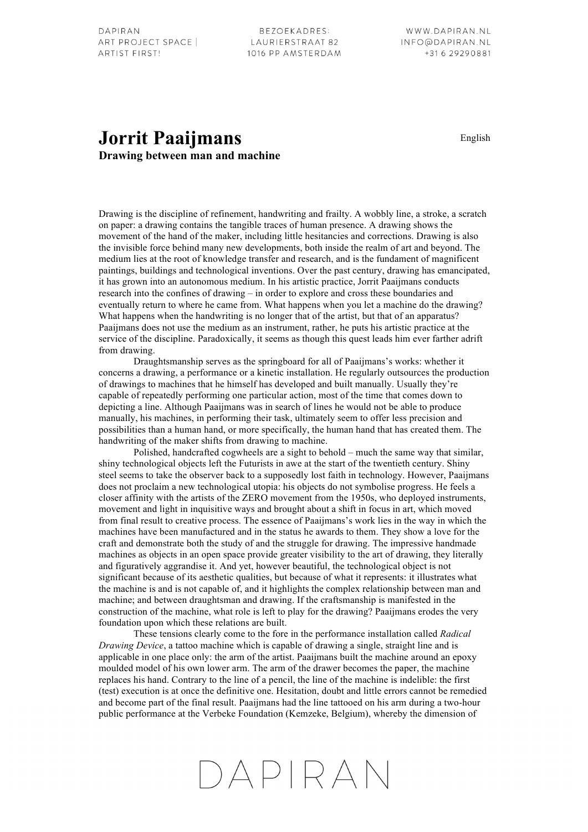BEZOEKADRES: LAURIERSTRAAT 82 1016 PP AMSTERDAM

## **Jorrit Paaijmans** English **Drawing between man and machine**

Drawing is the discipline of refinement, handwriting and frailty. A wobbly line, a stroke, a scratch on paper: a drawing contains the tangible traces of human presence. A drawing shows the movement of the hand of the maker, including little hesitancies and corrections. Drawing is also the invisible force behind many new developments, both inside the realm of art and beyond. The medium lies at the root of knowledge transfer and research, and is the fundament of magnificent paintings, buildings and technological inventions. Over the past century, drawing has emancipated, it has grown into an autonomous medium. In his artistic practice, Jorrit Paaijmans conducts research into the confines of drawing – in order to explore and cross these boundaries and eventually return to where he came from. What happens when you let a machine do the drawing? What happens when the handwriting is no longer that of the artist, but that of an apparatus? Paaijmans does not use the medium as an instrument, rather, he puts his artistic practice at the service of the discipline. Paradoxically, it seems as though this quest leads him ever farther adrift from drawing.

Draughtsmanship serves as the springboard for all of Paaijmans's works: whether it concerns a drawing, a performance or a kinetic installation. He regularly outsources the production of drawings to machines that he himself has developed and built manually. Usually they're capable of repeatedly performing one particular action, most of the time that comes down to depicting a line. Although Paaijmans was in search of lines he would not be able to produce manually, his machines, in performing their task, ultimately seem to offer less precision and possibilities than a human hand, or more specifically, the human hand that has created them. The handwriting of the maker shifts from drawing to machine.

Polished, handcrafted cogwheels are a sight to behold – much the same way that similar, shiny technological objects left the Futurists in awe at the start of the twentieth century. Shiny steel seems to take the observer back to a supposedly lost faith in technology. However, Paaijmans does not proclaim a new technological utopia: his objects do not symbolise progress. He feels a closer affinity with the artists of the ZERO movement from the 1950s, who deployed instruments, movement and light in inquisitive ways and brought about a shift in focus in art, which moved from final result to creative process. The essence of Paaijmans's work lies in the way in which the machines have been manufactured and in the status he awards to them. They show a love for the craft and demonstrate both the study of and the struggle for drawing. The impressive handmade machines as objects in an open space provide greater visibility to the art of drawing, they literally and figuratively aggrandise it. And yet, however beautiful, the technological object is not significant because of its aesthetic qualities, but because of what it represents: it illustrates what the machine is and is not capable of, and it highlights the complex relationship between man and machine; and between draughtsman and drawing. If the craftsmanship is manifested in the construction of the machine, what role is left to play for the drawing? Paaijmans erodes the very foundation upon which these relations are built.

These tensions clearly come to the fore in the performance installation called *Radical Drawing Device*, a tattoo machine which is capable of drawing a single, straight line and is applicable in one place only: the arm of the artist. Paaijmans built the machine around an epoxy moulded model of his own lower arm. The arm of the drawer becomes the paper, the machine replaces his hand. Contrary to the line of a pencil, the line of the machine is indelible: the first (test) execution is at once the definitive one. Hesitation, doubt and little errors cannot be remedied and become part of the final result. Paaijmans had the line tattooed on his arm during a two-hour public performance at the Verbeke Foundation (Kemzeke, Belgium), whereby the dimension of

## DAPIRAN